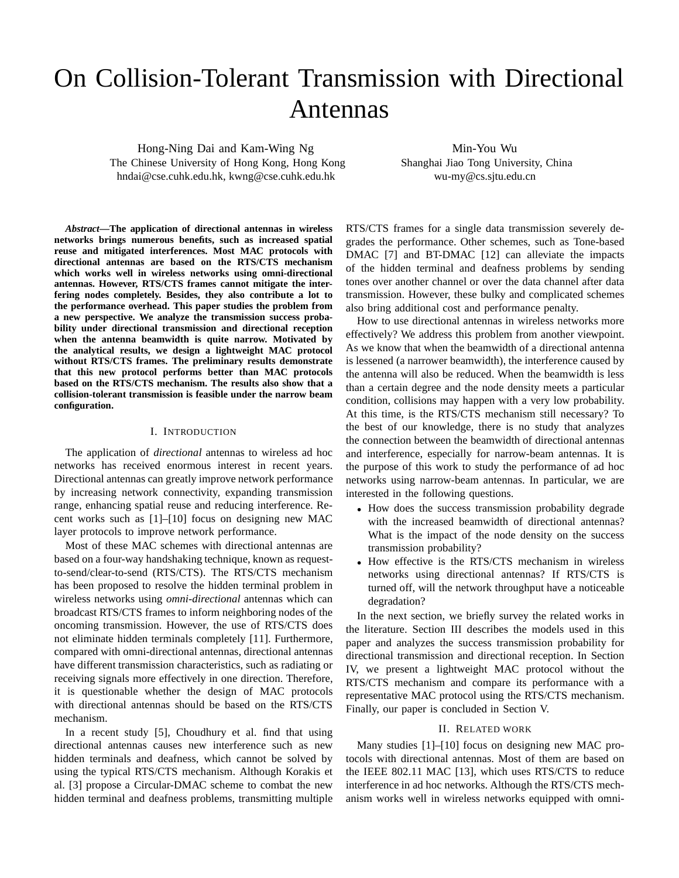# On Collision-Tolerant Transmission with Directional Antennas

Hong-Ning Dai and Kam-Wing Ng The Chinese University of Hong Kong, Hong Kong hndai@cse.cuhk.edu.hk, kwng@cse.cuhk.edu.hk

Min-You Wu Shanghai Jiao Tong University, China wu-my@cs.sjtu.edu.cn

*Abstract***—The application of directional antennas in wireless networks brings numerous benefits, such as increased spatial reuse and mitigated interferences. Most MAC protocols with directional antennas are based on the RTS/CTS mechanism which works well in wireless networks using omni-directional antennas. However, RTS/CTS frames cannot mitigate the interfering nodes completely. Besides, they also contribute a lot to the performance overhead. This paper studies the problem from a new perspective. We analyze the transmission success probability under directional transmission and directional reception when the antenna beamwidth is quite narrow. Motivated by the analytical results, we design a lightweight MAC protocol without RTS/CTS frames. The preliminary results demonstrate that this new protocol performs better than MAC protocols based on the RTS/CTS mechanism. The results also show that a collision-tolerant transmission is feasible under the narrow beam configuration.**

## I. INTRODUCTION

The application of *directional* antennas to wireless ad hoc networks has received enormous interest in recent years. Directional antennas can greatly improve network performance by increasing network connectivity, expanding transmission range, enhancing spatial reuse and reducing interference. Recent works such as [1]–[10] focus on designing new MAC layer protocols to improve network performance.

Most of these MAC schemes with directional antennas are based on a four-way handshaking technique, known as requestto-send/clear-to-send (RTS/CTS). The RTS/CTS mechanism has been proposed to resolve the hidden terminal problem in wireless networks using *omni-directional* antennas which can broadcast RTS/CTS frames to inform neighboring nodes of the oncoming transmission. However, the use of RTS/CTS does not eliminate hidden terminals completely [11]. Furthermore, compared with omni-directional antennas, directional antennas have different transmission characteristics, such as radiating or receiving signals more effectively in one direction. Therefore, it is questionable whether the design of MAC protocols with directional antennas should be based on the RTS/CTS mechanism.

In a recent study [5], Choudhury et al. find that using directional antennas causes new interference such as new hidden terminals and deafness, which cannot be solved by using the typical RTS/CTS mechanism. Although Korakis et al. [3] propose a Circular-DMAC scheme to combat the new hidden terminal and deafness problems, transmitting multiple RTS/CTS frames for a single data transmission severely degrades the performance. Other schemes, such as Tone-based DMAC [7] and BT-DMAC [12] can alleviate the impacts of the hidden terminal and deafness problems by sending tones over another channel or over the data channel after data transmission. However, these bulky and complicated schemes also bring additional cost and performance penalty.

How to use directional antennas in wireless networks more effectively? We address this problem from another viewpoint. As we know that when the beamwidth of a directional antenna is lessened (a narrower beamwidth), the interference caused by the antenna will also be reduced. When the beamwidth is less than a certain degree and the node density meets a particular condition, collisions may happen with a very low probability. At this time, is the RTS/CTS mechanism still necessary? To the best of our knowledge, there is no study that analyzes the connection between the beamwidth of directional antennas and interference, especially for narrow-beam antennas. It is the purpose of this work to study the performance of ad hoc networks using narrow-beam antennas. In particular, we are interested in the following questions.

- How does the success transmission probability degrade with the increased beamwidth of directional antennas? What is the impact of the node density on the success transmission probability?
- How effective is the RTS/CTS mechanism in wireless networks using directional antennas? If RTS/CTS is turned off, will the network throughput have a noticeable degradation?

In the next section, we briefly survey the related works in the literature. Section III describes the models used in this paper and analyzes the success transmission probability for directional transmission and directional reception. In Section IV, we present a lightweight MAC protocol without the RTS/CTS mechanism and compare its performance with a representative MAC protocol using the RTS/CTS mechanism. Finally, our paper is concluded in Section V.

### II. RELATED WORK

Many studies [1]–[10] focus on designing new MAC protocols with directional antennas. Most of them are based on the IEEE 802.11 MAC [13], which uses RTS/CTS to reduce interference in ad hoc networks. Although the RTS/CTS mechanism works well in wireless networks equipped with omni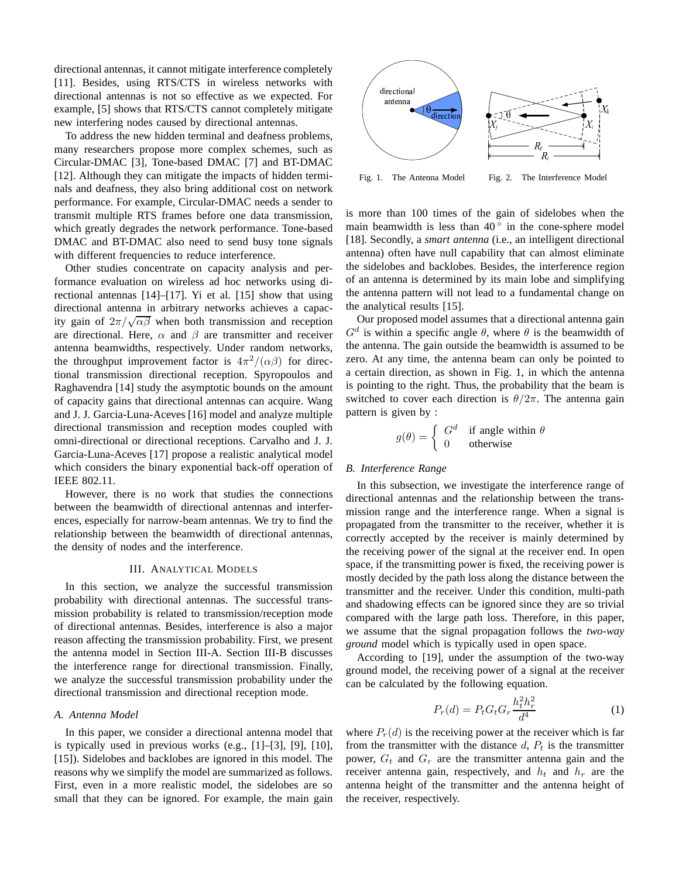directional antennas, it cannot mitigate interference completely [11]. Besides, using RTS/CTS in wireless networks with directional antennas is not so effective as we expected. For example, [5] shows that RTS/CTS cannot completely mitigate new interfering nodes caused by directional antennas.

To address the new hidden terminal and deafness problems, many researchers propose more complex schemes, such as Circular-DMAC [3], Tone-based DMAC [7] and BT-DMAC [12]. Although they can mitigate the impacts of hidden terminals and deafness, they also bring additional cost on network performance. For example, Circular-DMAC needs a sender to transmit multiple RTS frames before one data transmission, which greatly degrades the network performance. Tone-based DMAC and BT-DMAC also need to send busy tone signals with different frequencies to reduce interference.

Other studies concentrate on capacity analysis and performance evaluation on wireless ad hoc networks using directional antennas [14]–[17]. Yi et al. [15] show that using directional antenna in arbitrary networks achieves a capacity gain of  $2\pi/\sqrt{\alpha\beta}$  when both transmission and reception are directional. Here,  $\alpha$  and  $\beta$  are transmitter and receiver antenna beamwidths, respectively. Under random networks, the throughput improvement factor is  $4\pi^2/(\alpha\beta)$  for directional transmission directional reception. Spyropoulos and Raghavendra [14] study the asymptotic bounds on the amount of capacity gains that directional antennas can acquire. Wang and J. J. Garcia-Luna-Aceves [16] model and analyze multiple directional transmission and reception modes coupled with omni-directional or directional receptions. Carvalho and J. J. Garcia-Luna-Aceves [17] propose a realistic analytical model which considers the binary exponential back-off operation of IEEE 802.11.

However, there is no work that studies the connections between the beamwidth of directional antennas and interferences, especially for narrow-beam antennas. We try to find the relationship between the beamwidth of directional antennas, the density of nodes and the interference.

#### III. ANALYTICAL MODELS

In this section, we analyze the successful transmission probability with directional antennas. The successful transmission probability is related to transmission/reception mode of directional antennas. Besides, interference is also a major reason affecting the transmission probability. First, we present the antenna model in Section III-A. Section III-B discusses the interference range for directional transmission. Finally, we analyze the successful transmission probability under the directional transmission and directional reception mode.

# *A. Antenna Model*

In this paper, we consider a directional antenna model that is typically used in previous works (e.g., [1]–[3], [9], [10], [15]). Sidelobes and backlobes are ignored in this model. The reasons why we simplify the model are summarized as follows. First, even in a more realistic model, the sidelobes are so small that they can be ignored. For example, the main gain



Fig. 1. The Antenna Model Fig. 2. The Interference Model

is more than 100 times of the gain of sidelobes when the main beamwidth is less than  $40^{\circ}$  in the cone-sphere model [18]. Secondly, a *smart antenna* (i.e., an intelligent directional antenna) often have null capability that can almost eliminate the sidelobes and backlobes. Besides, the interference region of an antenna is determined by its main lobe and simplifying the antenna pattern will not lead to a fundamental change on the analytical results [15].

Our proposed model assumes that a directional antenna gain  $G<sup>d</sup>$  is within a specific angle  $\theta$ , where  $\theta$  is the beamwidth of the antenna. The gain outside the beamwidth is assumed to be zero. At any time, the antenna beam can only be pointed to a certain direction, as shown in Fig. 1, in which the antenna is pointing to the right. Thus, the probability that the beam is switched to cover each direction is  $\theta/2\pi$ . The antenna gain pattern is given by :

$$
g(\theta) = \begin{cases} G^d & \text{if angle within } \theta \\ 0 & \text{otherwise} \end{cases}
$$

## *B. Interference Range*

In this subsection, we investigate the interference range of directional antennas and the relationship between the transmission range and the interference range. When a signal is propagated from the transmitter to the receiver, whether it is correctly accepted by the receiver is mainly determined by the receiving power of the signal at the receiver end. In open space, if the transmitting power is fixed, the receiving power is mostly decided by the path loss along the distance between the transmitter and the receiver. Under this condition, multi-path and shadowing effects can be ignored since they are so trivial compared with the large path loss. Therefore, in this paper, we assume that the signal propagation follows the *two-way ground* model which is typically used in open space.

According to [19], under the assumption of the two-way ground model, the receiving power of a signal at the receiver can be calculated by the following equation.

$$
P_r(d) = P_t G_t G_r \frac{h_t^2 h_r^2}{d^4}
$$
 (1)

where  $P_r(d)$  is the receiving power at the receiver which is far from the transmitter with the distance  $d$ ,  $P_t$  is the transmitter power,  $G_t$  and  $G_r$  are the transmitter antenna gain and the receiver antenna gain, respectively, and  $h_t$  and  $h_r$  are the antenna height of the transmitter and the antenna height of the receiver, respectively.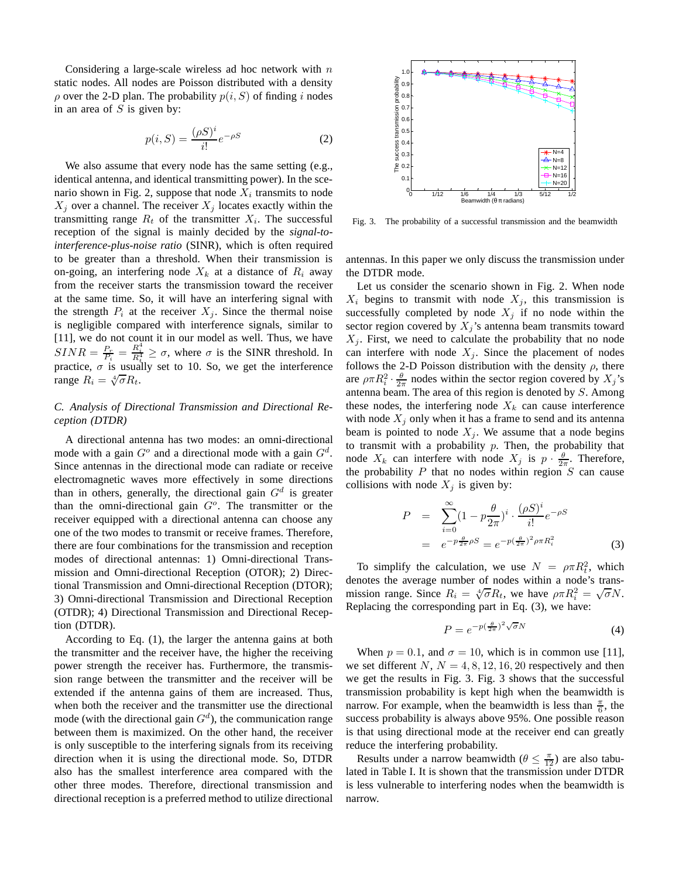Considering a large-scale wireless ad hoc network with  $n$ static nodes. All nodes are Poisson distributed with a density  $\rho$  over the 2-D plan. The probability  $p(i, S)$  of finding i nodes in an area of  $S$  is given by:

$$
p(i, S) = \frac{(\rho S)^i}{i!} e^{-\rho S}
$$
 (2)

We also assume that every node has the same setting (e.g., identical antenna, and identical transmitting power). In the scenario shown in Fig. 2, suppose that node  $X_i$  transmits to node  $X_j$  over a channel. The receiver  $X_j$  locates exactly within the transmitting range  $R_t$  of the transmitter  $X_i$ . The successful reception of the signal is mainly decided by the *signal-tointerference-plus-noise ratio* (SINR), which is often required to be greater than a threshold. When their transmission is on-going, an interfering node  $X_k$  at a distance of  $R_i$  away from the receiver starts the transmission toward the receiver at the same time. So, it will have an interfering signal with the strength  $P_i$  at the receiver  $X_i$ . Since the thermal noise is negligible compared with interference signals, similar to [11], we do not count it in our model as well. Thus, we have  $SINR = \frac{P_r}{P_i} = \frac{R_i^4}{R_i^4} \ge \sigma$ , where  $\sigma$  is the SINR threshold. In practice,  $\sigma$  is usually set to 10. So, we get the interference range  $R_i = \sqrt[4]{\sigma} R_t$ .

# *C. Analysis of Directional Transmission and Directional Reception (DTDR)*

A directional antenna has two modes: an omni-directional mode with a gain  $G^o$  and a directional mode with a gain  $G^d$ . Since antennas in the directional mode can radiate or receive electromagnetic waves more effectively in some directions than in others, generally, the directional gain  $G<sup>d</sup>$  is greater than the omni-directional gain  $G<sup>o</sup>$ . The transmitter or the receiver equipped with a directional antenna can choose any one of the two modes to transmit or receive frames. Therefore, there are four combinations for the transmission and reception modes of directional antennas: 1) Omni-directional Transmission and Omni-directional Reception (OTOR); 2) Directional Transmission and Omni-directional Reception (DTOR); 3) Omni-directional Transmission and Directional Reception (OTDR); 4) Directional Transmission and Directional Reception (DTDR).

According to Eq. (1), the larger the antenna gains at both the transmitter and the receiver have, the higher the receiving power strength the receiver has. Furthermore, the transmission range between the transmitter and the receiver will be extended if the antenna gains of them are increased. Thus, when both the receiver and the transmitter use the directional mode (with the directional gain  $G<sup>d</sup>$ ), the communication range between them is maximized. On the other hand, the receiver is only susceptible to the interfering signals from its receiving direction when it is using the directional mode. So, DTDR also has the smallest interference area compared with the other three modes. Therefore, directional transmission and directional reception is a preferred method to utilize directional



Fig. 3. The probability of a successful transmission and the beamwidth

antennas. In this paper we only discuss the transmission under the DTDR mode.

Let us consider the scenario shown in Fig. 2. When node  $X_i$  begins to transmit with node  $X_i$ , this transmission is successfully completed by node  $X_j$  if no node within the sector region covered by  $X_i$ 's antenna beam transmits toward  $X_i$ . First, we need to calculate the probability that no node can interfere with node  $X_i$ . Since the placement of nodes follows the 2-D Poisson distribution with the density  $\rho$ , there are  $\rho \pi R_i^2 \cdot \frac{\theta}{2\pi}$  nodes within the sector region covered by  $X_j$ 's antenna beam. The area of this region is denoted by  $S$ . Among these nodes, the interfering node  $X_k$  can cause interference with node  $X_j$  only when it has a frame to send and its antenna beam is pointed to node  $X_j$ . We assume that a node begins to transmit with a probability  $p$ . Then, the probability that node  $X_k$  can interfere with node  $X_j$  is  $p \cdot \frac{\theta}{2\pi}$ . Therefore, the probability  $P$  that no nodes within region  $S$  can cause collisions with node  $X_j$  is given by:

$$
P = \sum_{i=0}^{\infty} (1 - p \frac{\theta}{2\pi})^i \cdot \frac{(\rho S)^i}{i!} e^{-\rho S}
$$
  
= 
$$
e^{-p \frac{\theta}{2\pi} \rho S} = e^{-p(\frac{\theta}{2\pi})^2 \rho \pi R_i^2}
$$
(3)

To simplify the calculation, we use  $N = \rho \pi R_t^2$ , which denotes the average number of nodes within a node's transmission range. Since  $R_i = \sqrt[4]{\sigma} R_t$ , we have  $\rho \pi R_i^2 = \sqrt{\sigma} N$ . Replacing the corresponding part in Eq. (3), we have:

$$
P = e^{-p(\frac{\theta}{2\pi})^2 \sqrt{\sigma} N} \tag{4}
$$

When  $p = 0.1$ , and  $\sigma = 10$ , which is in common use [11], we set different N,  $N = 4, 8, 12, 16, 20$  respectively and then we get the results in Fig. 3. Fig. 3 shows that the successful transmission probability is kept high when the beamwidth is narrow. For example, when the beamwidth is less than  $\frac{\pi}{6}$ , the success probability is always above 95%. One possible reason is that using directional mode at the receiver end can greatly reduce the interfering probability.

Results under a narrow beamwidth  $(\theta \leq \frac{\pi}{12})$  are also tabulated in Table I. It is shown that the transmission under DTDR is less vulnerable to interfering nodes when the beamwidth is narrow.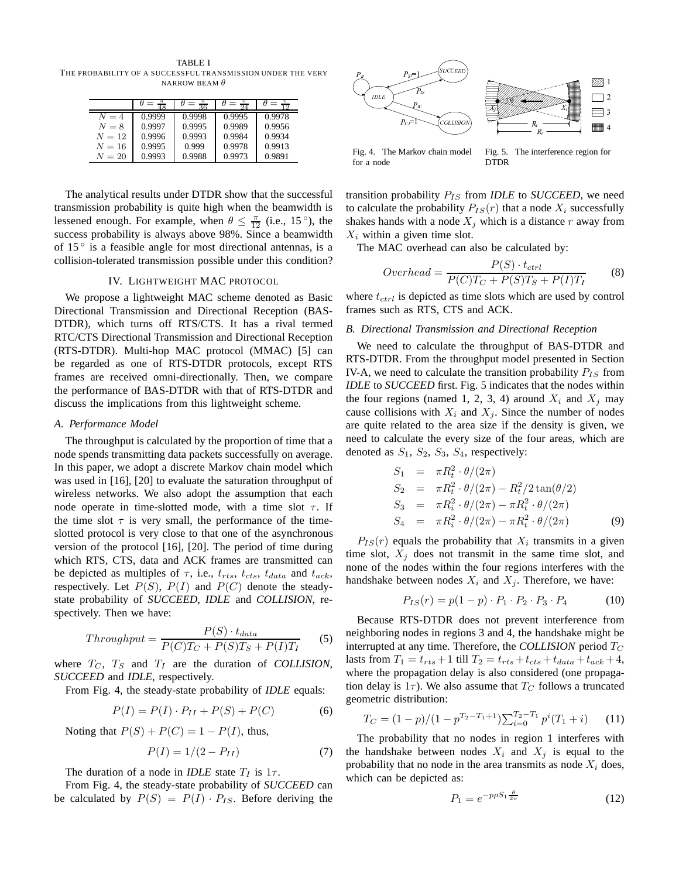TABLE I THE PROBABILITY OF A SUCCESSFUL TRANSMISSION UNDER THE VERY NARROW BEAM  $\theta$ 

|          |        | २६     | 71     | ່າ     |
|----------|--------|--------|--------|--------|
| $N=4$    | 0.9999 | 0.9998 | 0.9995 | 0.9978 |
| $N=8$    | 0.9997 | 0.9995 | 0.9989 | 0.9956 |
| $N=12$   | 0.9996 | 0.9993 | 0.9984 | 0.9934 |
| $N=16$   | 0.9995 | 0.999  | 0.9978 | 0.9913 |
| $N = 20$ | 0.9993 | 0.9988 | 0.9973 | 0.9891 |

The analytical results under DTDR show that the successful transmission probability is quite high when the beamwidth is lessened enough. For example, when  $\theta \leq \frac{\pi}{12}$  (i.e., 15<sup>o</sup>), the success probability is always above 98%. Since a beamwidth of 15 ◦ is a feasible angle for most directional antennas, is a collision-tolerated transmission possible under this condition?

# IV. LIGHTWEIGHT MAC PROTOCOL

We propose a lightweight MAC scheme denoted as Basic Directional Transmission and Directional Reception (BAS-DTDR), which turns off RTS/CTS. It has a rival termed RTC/CTS Directional Transmission and Directional Reception (RTS-DTDR). Multi-hop MAC protocol (MMAC) [5] can be regarded as one of RTS-DTDR protocols, except RTS frames are received omni-directionally. Then, we compare the performance of BAS-DTDR with that of RTS-DTDR and discuss the implications from this lightweight scheme.

#### *A. Performance Model*

The throughput is calculated by the proportion of time that a node spends transmitting data packets successfully on average. In this paper, we adopt a discrete Markov chain model which was used in [16], [20] to evaluate the saturation throughput of wireless networks. We also adopt the assumption that each node operate in time-slotted mode, with a time slot  $\tau$ . If the time slot  $\tau$  is very small, the performance of the timeslotted protocol is very close to that one of the asynchronous version of the protocol [16], [20]. The period of time during which RTS, CTS, data and ACK frames are transmitted can be depicted as multiples of  $\tau$ , i.e.,  $t_{rts}$ ,  $t_{cts}$ ,  $t_{data}$  and  $t_{ack}$ , respectively. Let  $P(S)$ ,  $P(I)$  and  $P(C)$  denote the steadystate probability of *SUCCEED*, *IDLE* and *COLLISION*, respectively. Then we have:

$$
Throughout = \frac{P(S) \cdot t_{data}}{P(C)T_C + P(S)T_S + P(I)T_I} \tag{5}
$$

where  $T_C$ ,  $T_S$  and  $T_I$  are the duration of *COLLISION*, *SUCCEED* and *IDLE*, respectively.

From Fig. 4, the steady-state probability of *IDLE* equals:

$$
P(I) = P(I) \cdot P_{II} + P(S) + P(C)
$$
 (6)

Noting that  $P(S) + P(C) = 1 - P(I)$ , thus,

$$
P(I) = 1/(2 - P_{II})
$$
 (7)

The duration of a node in *IDLE* state  $T_I$  is  $1\tau$ .

From Fig. 4, the steady-state probability of *SUCCEED* can be calculated by  $P(S) = P(I) \cdot P_{IS}$ . Before deriving the



Fig. 4. The Markov chain model for a node

Fig. 5. The interference region for DTDR

transition probability  $P_{IS}$  from *IDLE* to *SUCCEED*, we need to calculate the probability  $P_{IS}(r)$  that a node  $X_i$  successfully shakes hands with a node  $X_j$  which is a distance r away from  $X_i$  within a given time slot.

The MAC overhead can also be calculated by:

$$
Overhead = \frac{P(S) \cdot t_{ctrl}}{P(C)T_C + P(S)T_S + P(I)T_I}
$$
(8)

where  $t_{ctrl}$  is depicted as time slots which are used by control frames such as RTS, CTS and ACK.

## *B. Directional Transmission and Directional Reception*

We need to calculate the throughput of BAS-DTDR and RTS-DTDR. From the throughput model presented in Section IV-A, we need to calculate the transition probability  $P_{IS}$  from *IDLE* to *SUCCEED* first. Fig. 5 indicates that the nodes within the four regions (named 1, 2, 3, 4) around  $X_i$  and  $X_j$  may cause collisions with  $X_i$  and  $X_j$ . Since the number of nodes are quite related to the area size if the density is given, we need to calculate the every size of the four areas, which are denoted as  $S_1$ ,  $S_2$ ,  $S_3$ ,  $S_4$ , respectively:

$$
S_1 = \pi R_t^2 \cdot \theta / (2\pi)
$$
  
\n
$$
S_2 = \pi R_t^2 \cdot \theta / (2\pi) - R_t^2 / 2 \tan(\theta / 2)
$$
  
\n
$$
S_3 = \pi R_t^2 \cdot \theta / (2\pi) - \pi R_t^2 \cdot \theta / (2\pi)
$$
  
\n
$$
S_4 = \pi R_t^2 \cdot \theta / (2\pi) - \pi R_t^2 \cdot \theta / (2\pi)
$$
 (9)

 $P_{IS}(r)$  equals the probability that  $X_i$  transmits in a given time slot,  $X_j$  does not transmit in the same time slot, and none of the nodes within the four regions interferes with the handshake between nodes  $X_i$  and  $X_j$ . Therefore, we have:

$$
P_{IS}(r) = p(1-p) \cdot P_1 \cdot P_2 \cdot P_3 \cdot P_4 \tag{10}
$$

Because RTS-DTDR does not prevent interference from neighboring nodes in regions 3 and 4, the handshake might be interrupted at any time. Therefore, the *COLLISION* period  $T_C$ lasts from  $T_1 = t_{rts} + 1$  till  $T_2 = t_{rts} + t_{cts} + t_{data} + t_{ack} + 4$ , where the propagation delay is also considered (one propagation delay is  $1\tau$ ). We also assume that  $T_C$  follows a truncated geometric distribution:

$$
T_C = (1 - p)/(1 - p^{T_2 - T_1 + 1}) \sum_{i=0}^{T_2 - T_1} p^i (T_1 + i)
$$
 (11)

The probability that no nodes in region 1 interferes with the handshake between nodes  $X_i$  and  $X_j$  is equal to the probability that no node in the area transmits as node  $X_i$  does, which can be depicted as:

$$
P_1 = e^{-p\rho S_1 \frac{\theta}{2\pi}} \tag{12}
$$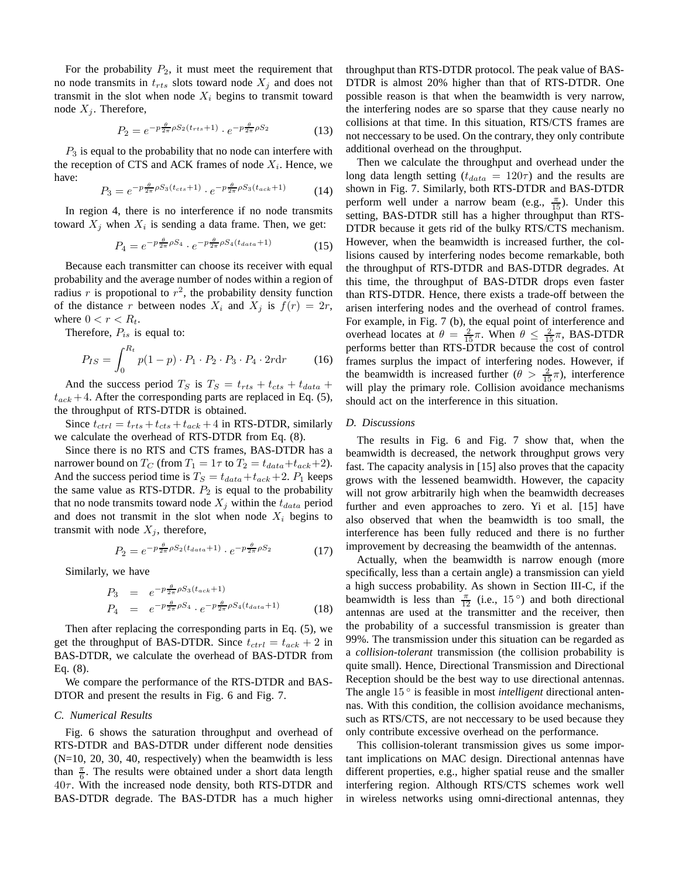For the probability  $P_2$ , it must meet the requirement that no node transmits in  $t_{rts}$  slots toward node  $X_j$  and does not transmit in the slot when node  $X_i$  begins to transmit toward node  $X_j$ . Therefore,

$$
P_2 = e^{-p\frac{\theta}{2\pi}\rho S_2(t_{rts}+1)} \cdot e^{-p\frac{\theta}{2\pi}\rho S_2}
$$
 (13)

 $P_3$  is equal to the probability that no node can interfere with the reception of CTS and ACK frames of node  $X_i$ . Hence, we have:

$$
P_3 = e^{-p\frac{\theta}{2\pi}\rho S_3(t_{cts}+1)} \cdot e^{-p\frac{\theta}{2\pi}\rho S_3(t_{ack}+1)} \tag{14}
$$

In region 4, there is no interference if no node transmits toward  $X_j$  when  $X_i$  is sending a data frame. Then, we get:

$$
P_4 = e^{-p\frac{\theta}{2\pi}\rho S_4} \cdot e^{-p\frac{\theta}{2\pi}\rho S_4(t_{data}+1)}
$$
 (15)

Because each transmitter can choose its receiver with equal probability and the average number of nodes within a region of radius r is propotional to  $r^2$ , the probability density function of the distance r between nodes  $X_i$  and  $X_j$  is  $f(r) = 2r$ , where  $0 < r < R_t$ .

Therefore,  $P_{is}$  is equal to:

$$
P_{IS} = \int_0^{R_t} p(1-p) \cdot P_1 \cdot P_2 \cdot P_3 \cdot P_4 \cdot 2r \, dr \tag{16}
$$

And the success period  $T_S$  is  $T_S = t_{rts} + t_{cts} + t_{data} + t_{data}$  $t_{ack}$  + 4. After the corresponding parts are replaced in Eq. (5), the throughput of RTS-DTDR is obtained.

Since  $t_{ctrl} = t_{rts} + t_{cts} + t_{ack} + 4$  in RTS-DTDR, similarly we calculate the overhead of RTS-DTDR from Eq. (8).

Since there is no RTS and CTS frames, BAS-DTDR has a narrower bound on  $T_C$  (from  $T_1 = 1\tau$  to  $T_2 = t_{data} + t_{ack} + 2$ ). And the success period time is  $T_S = t_{data} + t_{ack} + 2$ .  $P_1$  keeps the same value as RTS-DTDR.  $P_2$  is equal to the probability that no node transmits toward node  $X_j$  within the  $t_{data}$  period and does not transmit in the slot when node  $X_i$  begins to transmit with node  $X_i$ , therefore,

$$
P_2 = e^{-p\frac{\theta}{2\pi}\rho S_2(t_{data}+1)} \cdot e^{-p\frac{\theta}{2\pi}\rho S_2}
$$
 (17)

Similarly, we have

$$
P_3 = e^{-p\frac{\theta}{2\pi}\rho S_3(t_{ack}+1)}
$$
  
\n
$$
P_4 = e^{-p\frac{\theta}{2\pi}\rho S_4} \cdot e^{-p\frac{\theta}{2\pi}\rho S_4(t_{data}+1)}
$$
\n(18)

Then after replacing the corresponding parts in Eq. (5), we get the throughput of BAS-DTDR. Since  $t_{ctrl} = t_{ack} + 2$  in BAS-DTDR, we calculate the overhead of BAS-DTDR from Eq. (8).

We compare the performance of the RTS-DTDR and BAS-DTOR and present the results in Fig. 6 and Fig. 7.

#### *C. Numerical Results*

Fig. 6 shows the saturation throughput and overhead of RTS-DTDR and BAS-DTDR under different node densities (N=10, 20, 30, 40, respectively) when the beamwidth is less than  $\frac{\pi}{6}$ . The results were obtained under a short data length  $40\tau$ . With the increased node density, both RTS-DTDR and BAS-DTDR degrade. The BAS-DTDR has a much higher

throughput than RTS-DTDR protocol. The peak value of BAS-DTDR is almost 20% higher than that of RTS-DTDR. One possible reason is that when the beamwidth is very narrow, the interfering nodes are so sparse that they cause nearly no collisions at that time. In this situation, RTS/CTS frames are not neccessary to be used. On the contrary, they only contribute additional overhead on the throughput.

Then we calculate the throughput and overhead under the long data length setting ( $t_{data} = 120\tau$ ) and the results are shown in Fig. 7. Similarly, both RTS-DTDR and BAS-DTDR perform well under a narrow beam (e.g.,  $\frac{\pi}{15}$ ). Under this setting, BAS-DTDR still has a higher throughput than RTS-DTDR because it gets rid of the bulky RTS/CTS mechanism. However, when the beamwidth is increased further, the collisions caused by interfering nodes become remarkable, both the throughput of RTS-DTDR and BAS-DTDR degrades. At this time, the throughput of BAS-DTDR drops even faster than RTS-DTDR. Hence, there exists a trade-off between the arisen interfering nodes and the overhead of control frames. For example, in Fig. 7 (b), the equal point of interference and overhead locates at  $\theta = \frac{2}{15}\pi$ . When  $\theta \le \frac{2}{15}\pi$ , BAS-DTDR performs better than RTS-DTDR because the cost of control frames surplus the impact of interfering nodes. However, if the beamwidth is increased further  $(\theta > \frac{2}{15}\pi)$ , interference will play the primary role. Collision avoidance mechanisms should act on the interference in this situation.

## *D. Discussions*

The results in Fig. 6 and Fig. 7 show that, when the beamwidth is decreased, the network throughput grows very fast. The capacity analysis in [15] also proves that the capacity grows with the lessened beamwidth. However, the capacity will not grow arbitrarily high when the beamwidth decreases further and even approaches to zero. Yi et al. [15] have also observed that when the beamwidth is too small, the interference has been fully reduced and there is no further improvement by decreasing the beamwidth of the antennas.

Actually, when the beamwidth is narrow enough (more specifically, less than a certain angle) a transmission can yield a high success probability. As shown in Section III-C, if the beamwidth is less than  $\frac{\pi}{12}$  (i.e., 15<sup>o</sup>) and both directional antennas are used at the transmitter and the receiver, then the probability of a successful transmission is greater than 99%. The transmission under this situation can be regarded as a *collision-tolerant* transmission (the collision probability is quite small). Hence, Directional Transmission and Directional Reception should be the best way to use directional antennas. The angle 15 ◦ is feasible in most *intelligent* directional antennas. With this condition, the collision avoidance mechanisms, such as RTS/CTS, are not neccessary to be used because they only contribute excessive overhead on the performance.

This collision-tolerant transmission gives us some important implications on MAC design. Directional antennas have different properties, e.g., higher spatial reuse and the smaller interfering region. Although RTS/CTS schemes work well in wireless networks using omni-directional antennas, they